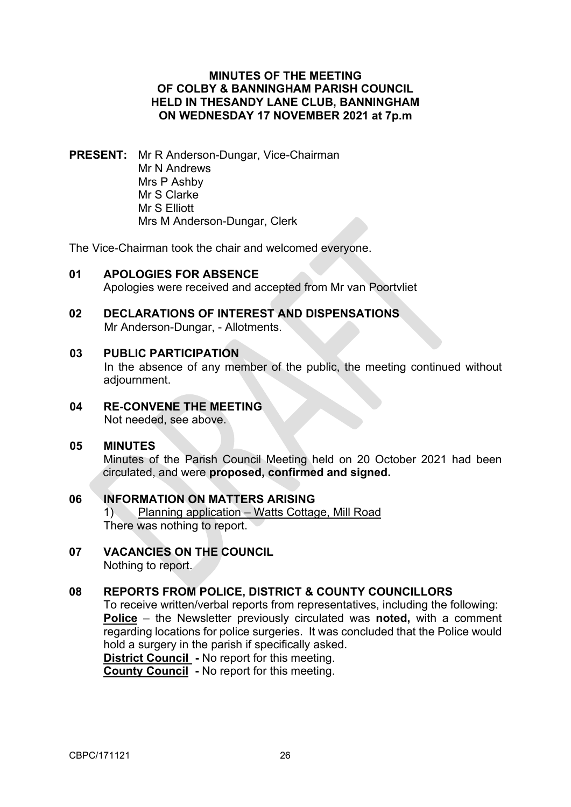### **MINUTES OF THE MEETING OF COLBY & BANNINGHAM PARISH COUNCIL HELD IN THESANDY LANE CLUB, BANNINGHAM ON WEDNESDAY 17 NOVEMBER 2021 at 7p.m**

**PRESENT:** Mr R Anderson-Dungar, Vice-Chairman Mr N Andrews Mrs P Ashby Mr S Clarke Mr S Elliott Mrs M Anderson-Dungar, Clerk

The Vice-Chairman took the chair and welcomed everyone.

**01 APOLOGIES FOR ABSENCE** 

Apologies were received and accepted from Mr van Poortvliet

**02 DECLARATIONS OF INTEREST AND DISPENSATIONS** Mr Anderson-Dungar, - Allotments.

#### **03 PUBLIC PARTICIPATION**

In the absence of any member of the public, the meeting continued without adjournment.

**04 RE-CONVENE THE MEETING** Not needed, see above.

### **05 MINUTES**

Minutes of the Parish Council Meeting held on 20 October 2021 had been circulated, and were **proposed, confirmed and signed.** 

- **06 INFORMATION ON MATTERS ARISING**  1) Planning application – Watts Cottage, Mill Road There was nothing to report.
- **07 VACANCIES ON THE COUNCIL** Nothing to report.

### **08 REPORTS FROM POLICE, DISTRICT & COUNTY COUNCILLORS**

To receive written/verbal reports from representatives, including the following: **Police** – the Newsletter previously circulated was **noted,** with a comment regarding locations for police surgeries. It was concluded that the Police would hold a surgery in the parish if specifically asked.

**District Council -** No report for this meeting. **County Council -** No report for this meeting.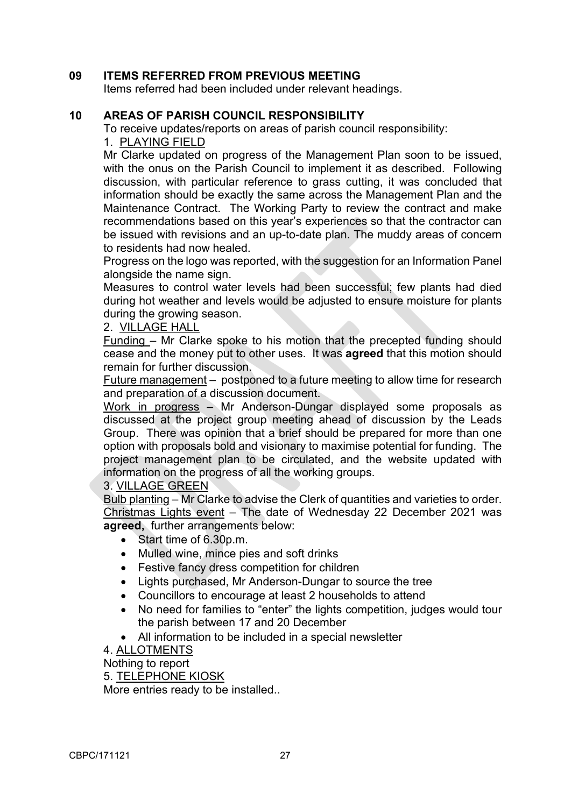## **09 ITEMS REFERRED FROM PREVIOUS MEETING**

Items referred had been included under relevant headings.

# **10 AREAS OF PARISH COUNCIL RESPONSIBILITY**

To receive updates/reports on areas of parish council responsibility:

1. PLAYING FIELD

Mr Clarke updated on progress of the Management Plan soon to be issued, with the onus on the Parish Council to implement it as described. Following discussion, with particular reference to grass cutting, it was concluded that information should be exactly the same across the Management Plan and the Maintenance Contract. The Working Party to review the contract and make recommendations based on this year's experiences so that the contractor can be issued with revisions and an up-to-date plan. The muddy areas of concern to residents had now healed.

Progress on the logo was reported, with the suggestion for an Information Panel alongside the name sign.

Measures to control water levels had been successful; few plants had died during hot weather and levels would be adjusted to ensure moisture for plants during the growing season.

### 2. VILLAGE HALL

Funding – Mr Clarke spoke to his motion that the precepted funding should cease and the money put to other uses. It was **agreed** that this motion should remain for further discussion.

Future management – postponed to a future meeting to allow time for research and preparation of a discussion document.

Work in progress – Mr Anderson-Dungar displayed some proposals as discussed at the project group meeting ahead of discussion by the Leads Group. There was opinion that a brief should be prepared for more than one option with proposals bold and visionary to maximise potential for funding. The project management plan to be circulated, and the website updated with information on the progress of all the working groups.

3. VILLAGE GREEN

Bulb planting – Mr Clarke to advise the Clerk of quantities and varieties to order. Christmas Lights event – The date of Wednesday 22 December 2021 was **agreed,** further arrangements below:

- Start time of 6.30p.m.
- Mulled wine, mince pies and soft drinks
- Festive fancy dress competition for children
- Lights purchased, Mr Anderson-Dungar to source the tree
- Councillors to encourage at least 2 households to attend
- No need for families to "enter" the lights competition, judges would tour the parish between 17 and 20 December
- All information to be included in a special newsletter

4. ALLOTMENTS

Nothing to report

5. TELEPHONE KIOSK

More entries ready to be installed..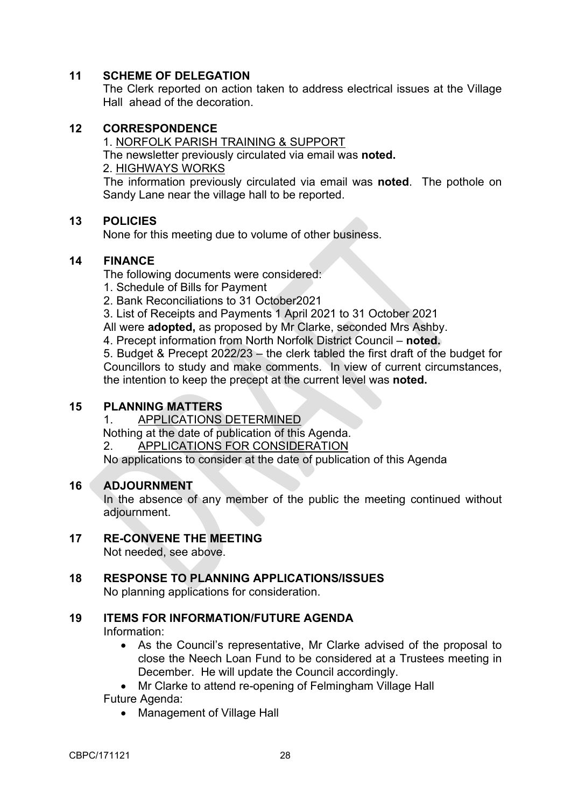## **11 SCHEME OF DELEGATION**

The Clerk reported on action taken to address electrical issues at the Village Hall ahead of the decoration.

## **12 CORRESPONDENCE**

1. NORFOLK PARISH TRAINING & SUPPORT The newsletter previously circulated via email was **noted.** 2. HIGHWAYS WORKS

The information previously circulated via email was **noted**. The pothole on Sandy Lane near the village hall to be reported.

### **13 POLICIES**

None for this meeting due to volume of other business.

### **14 FINANCE**

The following documents were considered:

- 1. Schedule of Bills for Payment
- 2. Bank Reconciliations to 31 October2021
- 3. List of Receipts and Payments 1 April 2021 to 31 October 2021

All were **adopted,** as proposed by Mr Clarke, seconded Mrs Ashby.

4. Precept information from North Norfolk District Council – **noted.**

5. Budget & Precept 2022/23 – the clerk tabled the first draft of the budget for Councillors to study and make comments. In view of current circumstances, the intention to keep the precept at the current level was **noted.** 

### **15 PLANNING MATTERS**

1. APPLICATIONS DETERMINED

Nothing at the date of publication of this Agenda.

2. APPLICATIONS FOR CONSIDERATION

No applications to consider at the date of publication of this Agenda

### **16 ADJOURNMENT**

In the absence of any member of the public the meeting continued without adjournment.

### **17 RE-CONVENE THE MEETING**

Not needed, see above.

### **18 RESPONSE TO PLANNING APPLICATIONS/ISSUES**

No planning applications for consideration.

# **19 ITEMS FOR INFORMATION/FUTURE AGENDA**

Information:

• As the Council's representative, Mr Clarke advised of the proposal to close the Neech Loan Fund to be considered at a Trustees meeting in December. He will update the Council accordingly.

• Mr Clarke to attend re-opening of Felmingham Village Hall

Future Agenda:

• Management of Village Hall